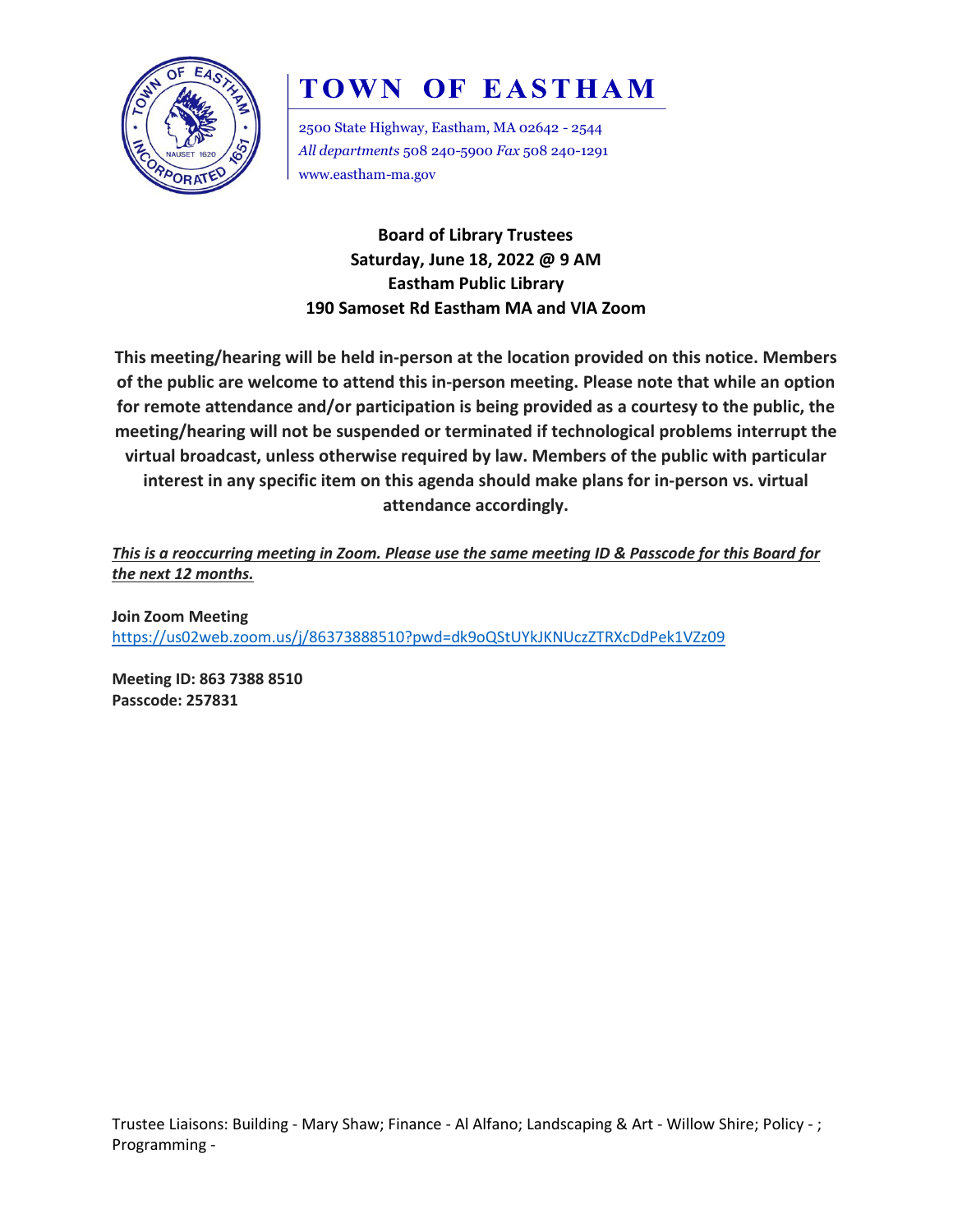

# **TOWN OF EASTHAM**

2500 State Highway, Eastham, MA 02642 - 2544 *All departments* 508 240-5900 *Fax* 508 240-1291 www.eastham-ma.gov

**Board of Library Trustees Saturday, June 18, 2022 @ 9 AM Eastham Public Library 190 Samoset Rd Eastham MA and VIA Zoom**

**This meeting/hearing will be held in-person at the location provided on this notice. Members of the public are welcome to attend this in-person meeting. Please note that while an option for remote attendance and/or participation is being provided as a courtesy to the public, the meeting/hearing will not be suspended or terminated if technological problems interrupt the virtual broadcast, unless otherwise required by law. Members of the public with particular interest in any specific item on this agenda should make plans for in-person vs. virtual attendance accordingly.**

*This is a reoccurring meeting in Zoom. Please use the same meeting ID & Passcode for this Board for the next 12 months.*

**Join Zoom Meeting** <https://us02web.zoom.us/j/86373888510?pwd=dk9oQStUYkJKNUczZTRXcDdPek1VZz09>

**Meeting ID: 863 7388 8510 Passcode: 257831**